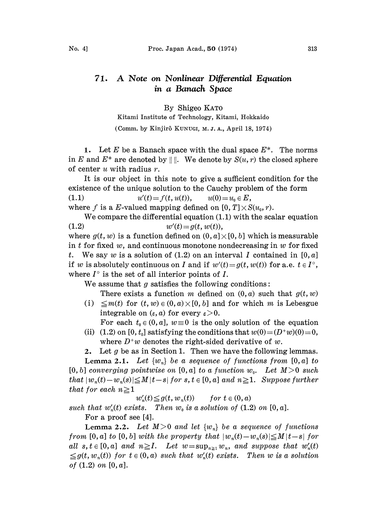## 71. A Note on Nonlinear Differential Equation in a Banach Space

By Shigeo KAT0

Kitami Institute of Technology, Kitami, Hokkaido (Comm. by Kinjirô KUNUGI, M. J. A., April 18, 1974)

1. Let E be a Banach space with the dual space  $E^*$ . The norms in E and  $E^*$  are denoted by  $\|\|\$ . We denote by  $S(u, r)$  the closed sphere of center  $u$  with radius  $r$ .

It is our object in this note to give a sufficient condition for the existence of the unique solution to the Cauchy problem of the form (1.1)  $u'(t) = f(t, u(t)), \qquad u(0) = u_0 \in E,$ 

where f is a E-valued mapping defined on  $[0, T] \times S(u_0, r)$ .

We compare the differential equation (1.1) with the scalar equation (1.2)  $w'(t) = g(t, w(t)),$ 

where  $g(t, w)$  is a function defined on  $(0, a] \times [0, b]$  which is measurable in t for fixed w, and continuous monotone nondecreasing in w for fixed t. We say w is a solution of  $(1.2)$  on an interval I contained in  $[0, a]$ if w is absolutely continuous on I and if  $w'(t) = g(t, w(t))$  for a.e.  $t \in I^{\circ}$ , where  $I^{\circ}$  is the set of all interior points of I.

We assume that  $g$  satisfies the following conditions:

There exists a function m defined on  $(0, a)$  such that  $g(t, w)$ (i)  $\leq m(t)$  for  $(t, w) \in (0, a) \times [0, b]$  and for which m is Lebesgue integrable on  $(\varepsilon, a)$  for every  $\varepsilon > 0$ .

For each  $t_0 \in (0, a]$ ,  $w \equiv 0$  is the only solution of the equation

(ii) (1.2) on [0,  $t_0$ ] satisfying the conditions that  $w(0)=(D^+w)(0)=0$ , where  $D^*w$  denotes the right-sided derivative of w.

2. Let  $g$  be as in Section 1. Then we have the following lemmas.

**Lemma 2.1.** Let  $\{w_n\}$  be a sequence of functions from  $[0, a]$  to  $[0, b]$  converging pointwise on  $[0, a]$  to a function  $w_0$ . Let  $M>0$  such that  $|w_n(t)-w_n(s)| \leq M |t-s|$  for  $s, t \in [0, a]$  and  $n \geq 1$ . Suppose further that for each  $n \geq 1$ 

 $w'_n(t) \leq g(t, w_n(t))$  for  $t \in (0, a)$ 

such that  $w'_n(t)$  exists. Then  $w_0$  is a solution of  $(1.2)$  on  $[0, a]$ . For a proof see [4].

**Lemma 2.2.** Let  $M>0$  and let  $\{w_n\}$  be a sequence of functions from [0, a] to [0, b] with the property that  $|w_n(t)-w_n(s)| \leq M |t-s|$  for all  $s, t \in [0, a]$  and  $n \geq I$ . Let  $w = \sup_{n \geq 1} w_n$ , and suppose that  $w'_n(t)$  $\leq g(t, w_n(t))$  for  $t \in (0, a)$  such that  $w'_n(t)$  exists. Then w is a solution of  $(1.2)$  on  $[0, a]$ .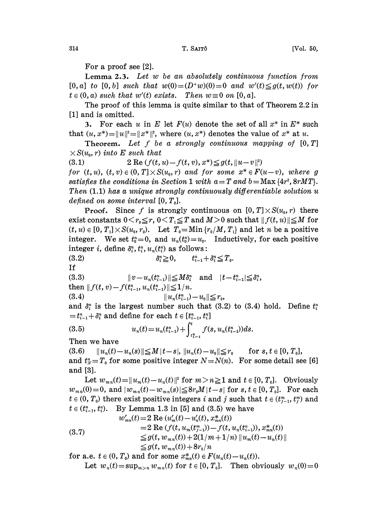For a proof see [2].

Lemma 2.3. Let w be an absolutely continuous function from  $[0, a]$  to  $[0, b]$  such that  $w(0) = (D^*w)(0) = 0$  and  $w'(t) \leq g(t, w(t))$  for  $t \in (0, a)$  such that w'(t) exists. Then  $w \equiv 0$  on  $[0, a]$ .

The proof of this lemma is quite similar to that of Theorem 2.2 in [1] and is omitted.

3. For each u in E let  $F(u)$  denote the set of all  $x^*$  in  $E^*$  such that  $(u, x^*) = ||u||^2 = ||x^*||^2$ , where  $(u, x^*)$  denotes the value of  $x^*$  at  $u$ .

Theorem. Let  $f$  be a strongly continuous mapping of  $[0, T]$  $\times S(u_0, r)$  into E such that

(3.1) 2 Re  $(f(t, u) - f(t, v), x^*) \leq g(t, \|u - v\|^2)$ 

for  $(t, u)$ ,  $(t, v) \in (0, T] \times S(u_0, r)$  and for some  $x^* \in F(u-v)$ , where g satisfies the conditions in Section 1 with  $a = T$  and  $b = Max$  {4r, 8rMT}. Then (1.1) has a unique strongly continuously differentiable solution u defined on some interval  $[0, T_0]$ .

**Proof.** Since f is strongly continuous on  $[0, T] \times S(u_0, r)$  there exist constants  $0 \le r_0 \le r$ ,  $0 \le T_1 \le T$  and  $M>0$  such that  $|| f(t, u)|| \le M$  for  $(t, u) \in [0, T_1] \times S(u_0, r_0)$ . Let  $T_0 = \text{Min} \{r_0/M, T_1\}$  and let n be a positive integer. We set  $t_0^n=0$ , and  $u_n(t_0^n)=u_0$ . Inductively, for each positive integer *i*, define  $\delta_i^n$ ,  $t_i^n$ ,  $u_n(t_i^n)$  as follows:

$$
(3.2) \t\t\t\t\delta_i^n \geq 0, \t\t t_{i-1}^n + \delta_i^n \leq T_0.
$$

If

$$
(3.3) \t\t\t ||v - u_n(t_{i-1}^n)|| \leq M\delta_i^n \text{ and } |t - t_{i-1}^n| \leq \delta_i^n,
$$

then  $|| f(t, v) - f(t_{i-1}^n, u_n(t_{i-1}^n)|| \leq 1/n$ .

(3.4) Un(tn- ) Uo to,

and  $\delta_i^n$  is the largest number such that (3.2) to (3.4) hold. Define  $t_i^n$  $=t_{i-1}^n+\delta_i^n$  and define for each  $t \in [t_{i-1}^n, t_i^n]$ 

(3.5) 
$$
u_n(t) = u_n(t_{i-1}^n) + \int_{t_{i-1}^n}^t f(s, u_n(t_{i-1}^n)) ds.
$$

Then we have

(3.6)  $||u_n(t)-u_n(s)|| \leq M |t-s|, ||u_n(t)-u_0|| \leq r_0$  for  $s, t \in [0, T_0],$ and  $t_N^n = T_0$  for some positive integer  $N = N(n)$ . For some detail see [6] and [3].

Let  $w_{m,n}(t)=||u_m(t)-u_n(t)||^2$  for  $m>n\geq 1$  and  $t\in[0,T_0]$ . Obviously  $w_{m,n}(0)=0$ , and  $|w_{m,n}(t)-w_{m,n}(s)| \leq 8r_0M|t-s|$  for  $s, t \in [0, T_0]$ . For each  $t \in (0, T_0)$  there exist positive integers i and j such that  $t \in (t_{i-1}^m, t_i^m)$  and  $t \in (t_{i-1}^n, t_i^n)$ . By Lemma 1.3 in [5] and (3.5) we have

(3.7)   
\n
$$
w'_{mn}(t) = 2 \text{ Re } (u'_m(t) - u'_n(t), x^*_{mn}(t))
$$
\n
$$
= 2 \text{ Re } (f(t, u_m(t^m_{j-1})) - f(t, u_n(t^n_{i-1})), x^*_{mn}(t))
$$
\n
$$
\leq g(t, w_{mn}(t)) + 2(1/m + 1/n) ||u_m(t) - u_n(t)||
$$
\n
$$
\leq g(t, w_{mn}(t)) + 8r_0/n
$$

for a.e.  $t \in (0, T_0)$  and for some  $x_{mn}^*(t) \in F(u_n(t)-u_n(t))$ . Let  $w_n(t) = \sup_{m>n} w_{mn}(t)$  for  $t \in [0, T_0]$ . Then obviously  $w_n(0) = 0$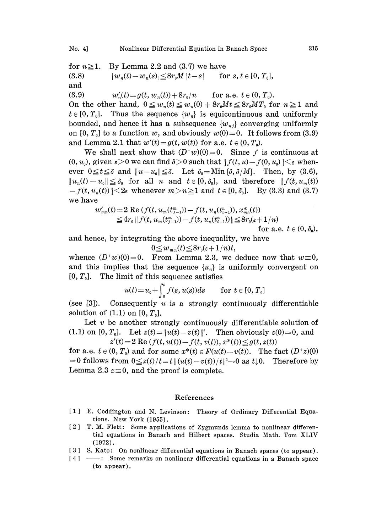for  $n \geq 1$ . By Lemma 2.2 and (3.7) we have (3.8)  $|w_n(t)-w_n(s)| \leq 8r_0M |t-s|$  for  $s, t \in [0, T_0],$ and (3.9)  $w'_n(t) = g(t, w_n(t)) + 8r_0/n$  for a.e.  $t \in (0, T_0)$ . On the other hand,  $0 \leq w_n(t) \leq w_n(0) + 8r_0Mt \leq 8r_0MT_0$  for  $n \geq 1$  and  $t \in [0, T_0]$ . Thus the sequence  $\{w_n\}$  is equicontinuous and uniformly

bounded, and hence it has a subsequence  $\{w_{nj}\}$  converging uniformly on [0,  $T_0$ ] to a function w, and obviously  $w(0)=0$ . It follows from (3.9) and Lemma 2.1 that  $w'(t) = g(t, w(t))$  for a.e.  $t \in (0, T_0)$ .

We shall next show that  $(D^+ w)(0) = 0$ . Since f is continuous at  $(0, u_0)$ , given  $\varepsilon > 0$  we can find  $\delta > 0$  such that  $|| f(t, u) - f(0, u_0)|| < \varepsilon$  whenever  $0 \le t \le \delta$  and  $||u-u_0|| \le \delta$ . Let  $\delta_0 = \text{Min} \{\delta, \delta/M\}$ . Then, by (3.6),  $||u_n(t) - u_0|| \leq \delta_0$  for all n and  $t \in [0, \delta_0]$ , and therefore  $|| f(t, u_m(t))||$  $-f(t, u_n(t))$   $\leq$  2 $\varepsilon$  whenever  $m>n\geq 1$  and  $t\in [0, \delta_0]$ . By (3.3) and (3.7) we have

$$
w'_{mn}(t) = 2 \text{ Re } (f(t, u_m(t_{j-1}^m)) - f(t, u_n(t_{i-1}^n)), x_{mn}^*(t))
$$
  
\n
$$
\leq 4r_0 \| f(t, u_m(t_{j-1}^m)) - f(t, u_n(t_{i-1}^n)) \| \leq 8r_0(\varepsilon + 1/n)
$$

for a.e. 
$$
t \in (0, \delta_0)
$$
,

and hence, by integrating the above inequality, we have

$$
0 \leq w_{m,n}(t) \leq 8r_0(\varepsilon + 1/n)t,
$$

 $0 \le w_{m,n}(t) \le 8r_0(\varepsilon+1/n)t$ ,<br>whence  $(D^+w)(0) = 0$ . From Lemma 2.3, we deduce now that  $w \equiv 0$ , whence  $(D^+w)(0) = 0$ . From Lemma 2.3, we deduce now that  $w \equiv 0$ ,<br>and this implies that the sequence  $\{u_n\}$  is uniformly convergent on  $[0, T_0]$ . The limit of this sequence satisfies

$$
u(t) = u_0 + \int_0^t f(s, u(s))ds \quad \text{for } t \in [0, T_0]
$$

(see [3]). Consequently u is a strongly continuously differentiable solution of  $(1.1)$  on  $[0, T_0]$ .

Let  $v$  be another strongly continuously differentiable solution of (1.1) on [0,  $T_0$ ]. Let  $z(t) = ||u(t)-v(t)||^2$ . Then obviously  $z(0) = 0$ , and  $z'(t) = 2 \text{ Re } (f(t, u(t)) - f(t, v(t)), x^*(t)) \leq g(t, z(t))$ 

for a.e.  $t \in (0, T_0)$  and for some  $x^*(t) \in F(u(t)-v(t))$ . The fact  $(D^*z)(0)$  $=0$  follows from  $0 \le z(t)/t=t[(u(t)-v(t))/t]^2 \to 0$  as  $t \downarrow 0$ . Therefore by Lemma 2.3  $z \equiv 0$ , and the proof is complete.

## References

- [1] E. Coddington and N. Levinson: Theory of Ordinary Differential Equations. New York (1955).
- <sup>2</sup> T.M. Flett: Some applications of Zygmunds lemma to nonlinear differential equations in Banach and Hilbert spaces. Studia Math. Tom XLIV (1972).
- [3] S. Kato: On nonlinear differential equations in Banach spaces (to appear).
- [4] ---: Some remarks on nonlinear differential equations in a Banach space (to appear).